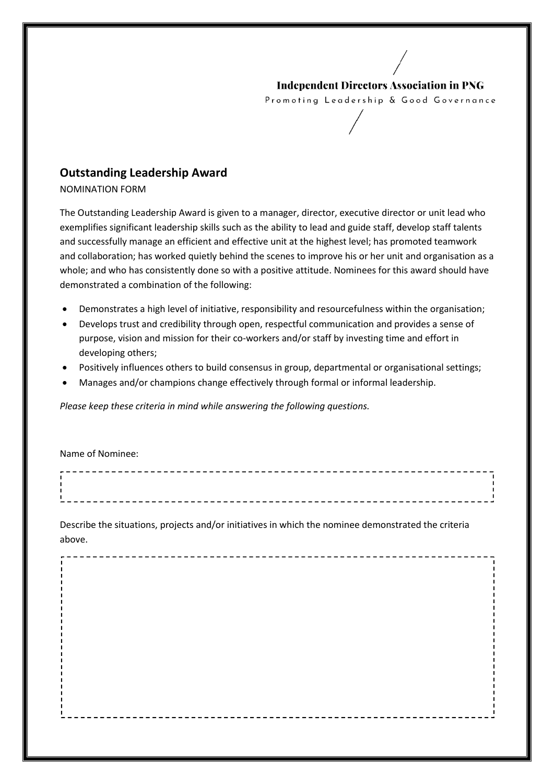## **Independent Directors Association in PNG**

Promoting Leadership & Good Governance

## **Outstanding Leadership Award**

NOMINATION FORM

The Outstanding Leadership Award is given to a manager, director, executive director or unit lead who exemplifies significant leadership skills such as the ability to lead and guide staff, develop staff talents and successfully manage an efficient and effective unit at the highest level; has promoted teamwork and successfully manage an efficient and effective unit at the highest level; has promoted teamwork<br>and collaboration; has worked quietly behind the scenes to improve his or her unit and organisation as a whole; and who has consistently done so with a positive attitude. Nominees for this award should have demonstrated a combination of the following:

- Demonstrates a high level of initiative, responsibility and resourcefulness within the organisation;
- Develops trust and credibility through open, respectful communication and provides a sense of purpose, vision and mission for their co-workers and/or staff by investing time and effort in developing others; s consistently done so with a positive attitude. Nominees for this award shou<br>mbination of the following:<br>a high level of initiative, responsibility and resourcefulness within the organis<br>and credibility through open, resp
- Positively influences others to build consensus in group, departmental or organisational settings;
- Manages and/or champions change effectively through formal or informal leadership.

## Name of Nominee:

| Manages and/or champions change effectively through formal or informal leadership.<br>$\bullet$     |  |
|-----------------------------------------------------------------------------------------------------|--|
| Please keep these criteria in mind while answering the following questions.                         |  |
| Name of Nominee:                                                                                    |  |
|                                                                                                     |  |
| Describe the situations, projects and/or initiatives in which the nominee demonstrated the criteria |  |

---------------------------------

Describe the situations, projects and/or initiatives in which the nominee demonstrated the criteria above.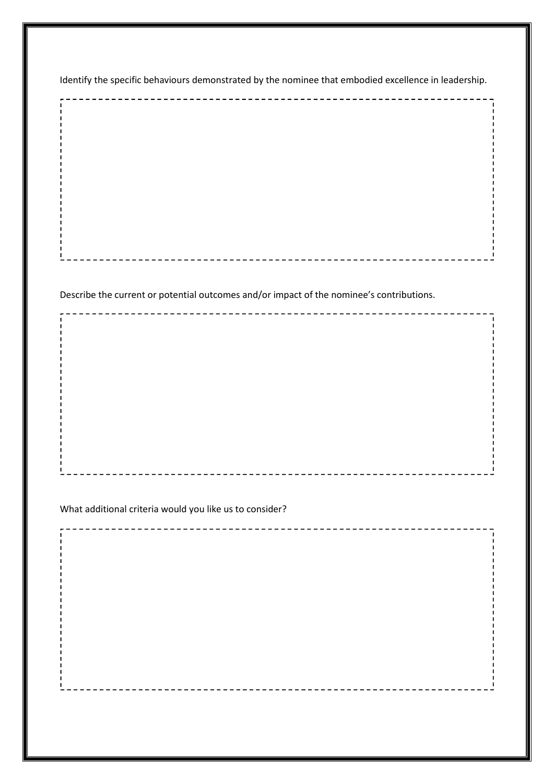Identify the specific behaviours demonstrated by the nominee that embodied excellence in leadership.

Describe the current or potential outcomes and/or impact of the nominee's contributions.

What additional criteria would you like us to consider?